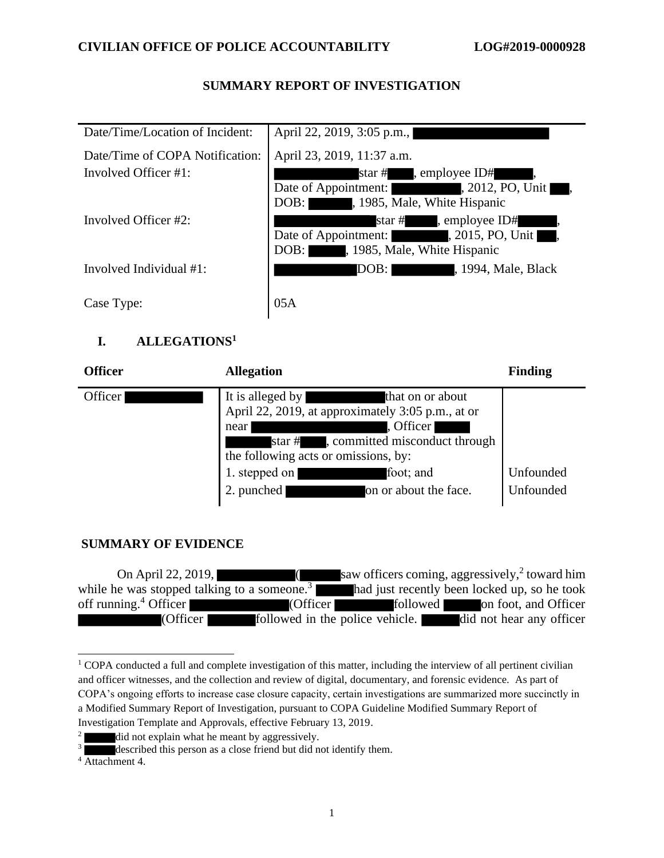## **SUMMARY REPORT OF INVESTIGATION**

| Date/Time/Location of Incident:                             | April 22, 2019, 3:05 p.m.,                                                                                                                  |
|-------------------------------------------------------------|---------------------------------------------------------------------------------------------------------------------------------------------|
| Date/Time of COPA Notification:<br>Involved Officer $\#1$ : | April 23, 2019, 11:37 a.m.<br>star #, employee ID#<br>$, 2012, PO, Unit,$ ,<br>Date of Appointment:<br>, 1985, Male, White Hispanic<br>DOB: |
| Involved Officer #2:                                        | star #, employee ID#<br>$, 2015, PO, Unit$ ,<br>Date of Appointment:<br>, 1985, Male, White Hispanic<br>DOB:                                |
| Involved Individual #1:                                     | DOB:<br>, 1994, Male, Black                                                                                                                 |
| Case Type:                                                  | 05A                                                                                                                                         |

## **I. ALLEGATIONS<sup>1</sup>**

| <b>Officer</b>       | <b>Allegation</b>                                                                                                                                                                                                                                             | <b>Finding</b>         |
|----------------------|---------------------------------------------------------------------------------------------------------------------------------------------------------------------------------------------------------------------------------------------------------------|------------------------|
| Officer <sup>1</sup> | It is alleged by<br>that on or about<br>April 22, 2019, at approximately 3:05 p.m., at or<br>. Officer<br>near<br>, committed misconduct through<br>the following acts or omissions, by:<br>foot; and<br>1. stepped on<br>on or about the face.<br>2. punched | Unfounded<br>Unfounded |

# **SUMMARY OF EVIDENCE**

On April 22, 2019,  $\qquad \qquad$  (saw officers coming, aggressively,<sup>2</sup> toward him while he was stopped talking to a someone.<sup>3</sup> had just recently been locked up, so he took off running.<sup>4</sup> Officer <sup>4</sup> Officer (Officer followed on foot, and Officer (Officer followed in the police vehicle. did not hear any officer

<sup>&</sup>lt;sup>1</sup> COPA conducted a full and complete investigation of this matter, including the interview of all pertinent civilian and officer witnesses, and the collection and review of digital, documentary, and forensic evidence. As part of COPA's ongoing efforts to increase case closure capacity, certain investigations are summarized more succinctly in a Modified Summary Report of Investigation, pursuant to COPA Guideline Modified Summary Report of Investigation Template and Approvals, effective February 13, 2019.

 $2 \times 2$  did not explain what he meant by aggressively.

described this person as a close friend but did not identify them.

 $4 \overline{\text{Attachment}} 4$ .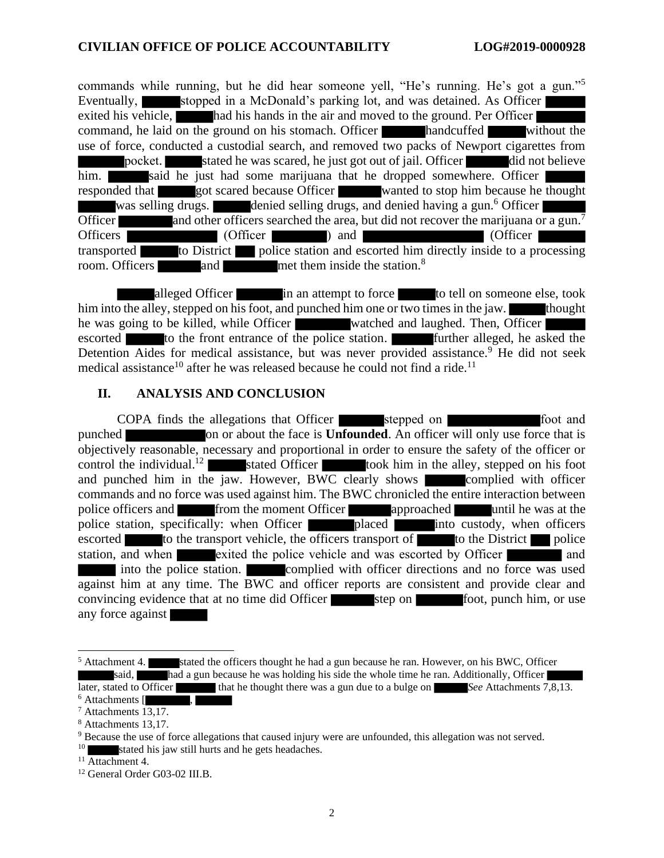commands while running, but he did hear someone yell, "He's running. He's got a gun."<sup>5</sup> Eventually, stopped in a McDonald's parking lot, and was detained. As Officer exited his vehicle, had his hands in the air and moved to the ground. Per Officer command, he laid on the ground on his stomach. Officer handcuffed without the use of force, conducted a custodial search, and removed two packs of Newport cigarettes from pocket. stated he was scared, he just got out of jail. Officer did not believe him. Said he just had some marijuana that he dropped somewhere. Officer responded that got scared because Officer wanted to stop him because he thought was selling drugs. denied selling drugs, and denied having a gun.<sup>6</sup> Officer Officer and other officers searched the area, but did not recover the marijuana or a gun.<sup>7</sup> Officer ) and (Officer ) and (Officer ) transported to District police station and escorted him directly inside to a processing room. Officers and met them inside the station.<sup>8</sup>

alleged Officer in an attempt to force to tell on someone else, took him into the alley, stepped on his foot, and punched him one or two times in the jaw. thought he was going to be killed, while Officer watched and laughed. Then, Officer escorted to the front entrance of the police station. Further alleged, he asked the Detention Aides for medical assistance, but was never provided assistance.<sup>9</sup> He did not seek medical assistance<sup>10</sup> after he was released because he could not find a ride.<sup>11</sup>

#### **II. ANALYSIS AND CONCLUSION**

COPA finds the allegations that Officer stepped on stepped on foot and punched on or about the face is **Unfounded**. An officer will only use force that is objectively reasonable, necessary and proportional in order to ensure the safety of the officer or control the individual.<sup>12</sup> stated Officer took him in the alley, stepped on his foot and punched him in the jaw. However, BWC clearly shows complied with officer commands and no force was used against him. The BWC chronicled the entire interaction between police officers and from the moment Officer approached until he was at the police station, specifically: when Officer **placed** into custody, when officers escorted to the transport vehicle, the officers transport of  $\blacksquare$  to the District police station, and when exited the police vehicle and was escorted by Officer into the police station. complied with officer directions and no force was used against him at any time. The BWC and officer reports are consistent and provide clear and convincing evidence that at no time did Officer step on foot, punch him, or use any force against

 $<sup>5</sup>$  Attachment 4. stated the officers thought he had a gun because he ran. However, on his BWC, Officer</sup> said, had a gun because he was holding his side the whole time he ran. Additionally, Officer later, stated to Officer that he thought there was a gun due to a bulge on *See* Attachments 7,8,13.

 $6$  Attachments  $[$ 

 $7$  Attachments  $13,17$ .

<sup>8</sup> Attachments 13,17.

<sup>9</sup> Because the use of force allegations that caused injury were are unfounded, this allegation was not served.

stated his jaw still hurts and he gets headaches.

 $11$  Attachment 4.

<sup>12</sup> General Order G03-02 III.B.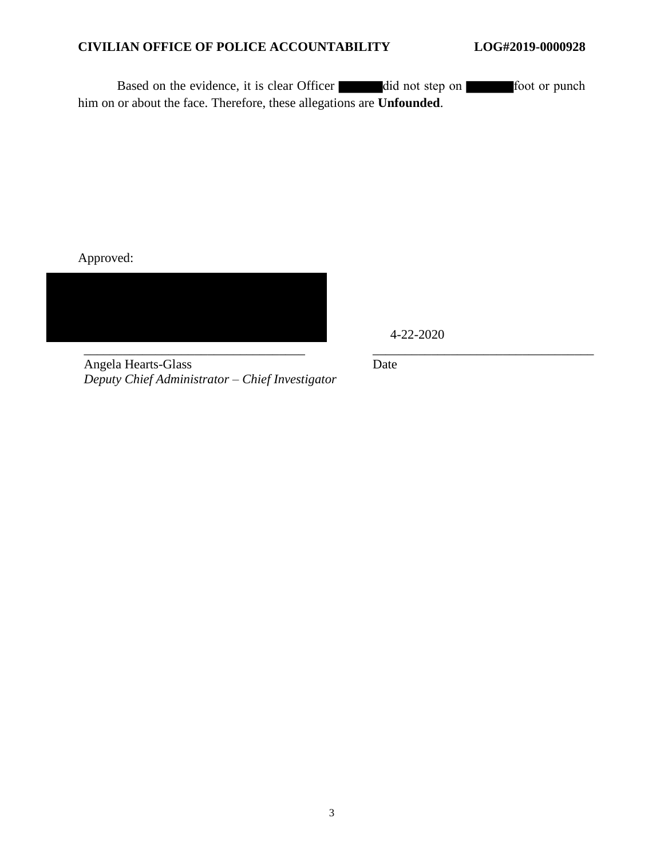#### **CIVILIAN OFFICE OF POLICE ACCOUNTABILITY LOG#2019-0000928**

Based on the evidence, it is clear Officer did not step on foot or punch him on or about the face. Therefore, these allegations are **Unfounded**.

Approved:



4-22-2020

Angela Hearts-Glass *Deputy Chief Administrator – Chief Investigator* Date